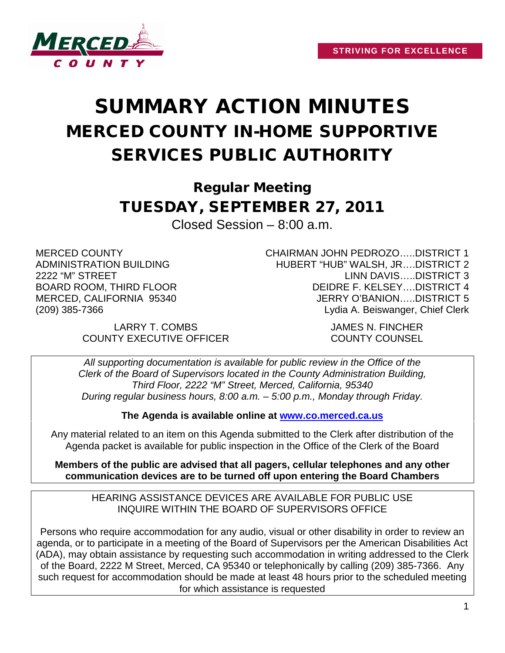

## SUMMARY ACTION MINUTES MERCED COUNTY IN-HOME SUPPORTIVE SERVICES PUBLIC AUTHORITY

Regular Meeting TUESDAY, SEPTEMBER 27, 2011

Closed Session – 8:00 a.m.

MERCED COUNTY ADMINISTRATION BUILDING 2222 "M" STREET BOARD ROOM, THIRD FLOOR MERCED, CALIFORNIA 95340 (209) 385-7366

> LARRY T. COMBS JAMES N. FINCHER COUNTY EXECUTIVE OFFICER COUNTY COUNSEL

CHAIRMAN JOHN PEDROZO…..DISTRICT 1 HUBERT "HUB" WALSH, JR….DISTRICT 2 LINN DAVIS…..DISTRICT 3 DEIDRE F. KELSEY….DISTRICT 4 JERRY O'BANION…..DISTRICT 5 Lydia A. Beiswanger, Chief Clerk

*All supporting documentation is available for public review in the Office of the Clerk of the Board of Supervisors located in the County Administration Building, Third Floor, 2222 "M" Street, Merced, California, 95340 During regular business hours, 8:00 a.m. – 5:00 p.m., Monday through Friday.*

**The Agenda is available online at [www.co.merced.ca.us](http://www.co.merced.ca.us/)**

Any material related to an item on this Agenda submitted to the Clerk after distribution of the Agenda packet is available for public inspection in the Office of the Clerk of the Board

**Members of the public are advised that all pagers, cellular telephones and any other communication devices are to be turned off upon entering the Board Chambers**

HEARING ASSISTANCE DEVICES ARE AVAILABLE FOR PUBLIC USE INQUIRE WITHIN THE BOARD OF SUPERVISORS OFFICE

Persons who require accommodation for any audio, visual or other disability in order to review an agenda, or to participate in a meeting of the Board of Supervisors per the American Disabilities Act (ADA), may obtain assistance by requesting such accommodation in writing addressed to the Clerk of the Board, 2222 M Street, Merced, CA 95340 or telephonically by calling (209) 385-7366. Any such request for accommodation should be made at least 48 hours prior to the scheduled meeting for which assistance is requested